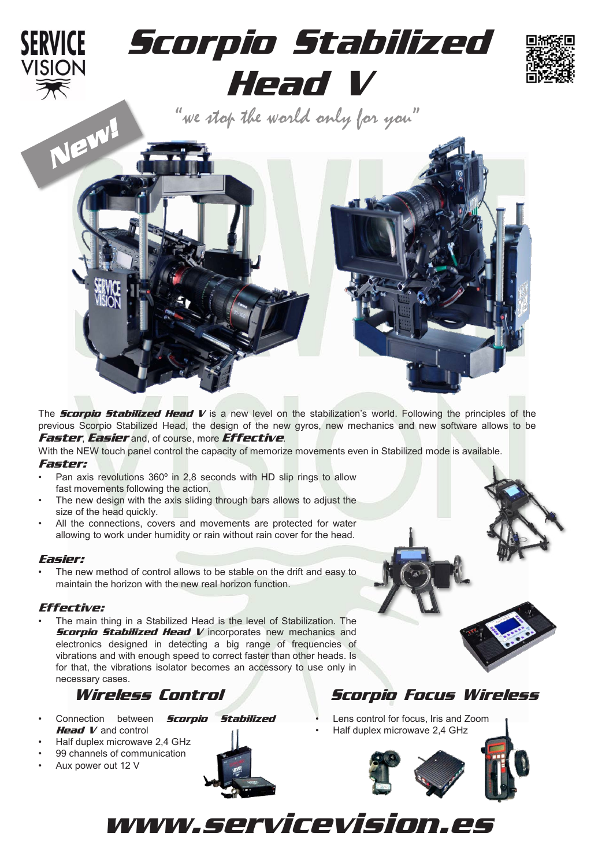

The *Scorpio Stabilized Head V* is a new level on the stabilization's world. Following the principles of the previous Scorpio Stabilized Head, the design of the new gyros, new mechanics and new software allows to be *Faster*, *Easier* and, of course, more *Effective*.

With the NEW touch panel control the capacity of memorize movements even in Stabilized mode is available. *Faster:*

- Pan axis revolutions 360º in 2,8 seconds with HD slip rings to allow fast movements following the action.
- The new design with the axis sliding through bars allows to adjust the size of the head quickly.
- All the connections, covers and movements are protected for water allowing to work under humidity or rain without rain cover for the head.

### *Easier:*

The new method of control allows to be stable on the drift and easy to maintain the horizon with the new real horizon function.

### *Effective:*

• The main thing in a Stabilized Head is the level of Stabilization. The *Scorpio Stabilized Head V* incorporates new mechanics and electronics designed in detecting a big range of frequencies of vibrations and with enough speed to correct faster than other heads. Is for that, the vibrations isolator becomes an accessory to use only in necessary cases.

- Connection between *Scorpio Stabilized Head V* and control
- Half duplex microwave 2,4 GHz
- 99 channels of communication
- Aux power out 12 V

![](_page_0_Picture_15.jpeg)

# *Wireless Control Scorpio Focus Wireless*

• Lens control for focus, Iris and Zoom • Half duplex microwave 2,4 GHz

![](_page_0_Picture_18.jpeg)

www.servicevision.es